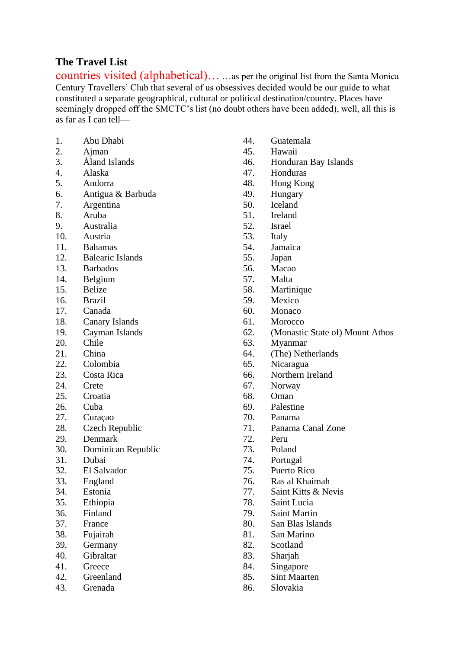### **The Travel List**

countries visited (alphabetical)… …as per the original list from the Santa Monica Century Travellers' Club that several of us obsessives decided would be our guide to what constituted a separate geographical, cultural or political destination/country. Places have seemingly dropped off the SMCTC's list (no doubt others have been added), well, all this is as far as I can tell—

- 1. Abu Dhabi
- 2. Ajman
- 3. Åland Islands
- 4. Alaska
- 5. Andorra
- 6. Antigua & Barbuda
- 7. Argentina
- 8. Aruba
- 9. Australia
- 10. Austria
- 11. Bahamas
- 12. Balearic Islands
- 13. Barbados
- 14. Belgium
- 15. Belize
- 16. Brazil
- 17. Canada
- 18. Canary Islands
- 19. Cayman Islands
- 20. Chile
- 21. China
- 22. Colombia
- 23. Costa Rica
- 24. Crete
- 25. Croatia
- 26. Cuba
- 27. Curaçao
- 28. Czech Republic
- 29. Denmark
- 30. Dominican Republic
- 31. Dubai
- 32. El Salvador
- 33. England
- 34. Estonia
- 35. Ethiopia
- 36. Finland
- 37. France
- 38. Fujairah
- 39. Germany
- 40. Gibraltar
- 41. Greece
- 42. Greenland
- 43. Grenada
- 44. Guatemala
- 45. Hawaii
- 46. Honduran Bay Islands
- 47. Honduras
- 48. Hong Kong
- 49. Hungary
- 50. Iceland
- 51. Ireland
- 52. Israel
- 53. Italy
- 54. Jamaica
- 55. Japan
- 56. Macao
- 57. Malta
- 58. Martinique
- 59. Mexico
- 60. Monaco
- 61. Morocco
- 62. (Monastic State of) Mount Athos
- 63. Myanmar
- 64. (The) Netherlands
- 65. Nicaragua
- 66. Northern Ireland
- 67. Norway
- 68. Oman
- 69. Palestine
- 70. Panama
- 71. Panama Canal Zone
- 72. Peru
- 73. Poland
- 74. Portugal
- 75. Puerto Rico
- 76. Ras al Khaimah
- 77. Saint Kitts & Nevis
- 78. Saint Lucia
- 79. Saint Martin
- 80. San Blas Islands
- 81. San Marino
- 82. Scotland
- 83. Sharjah
- 84. Singapore
- 85. Sint Maarten
- 86. Slovakia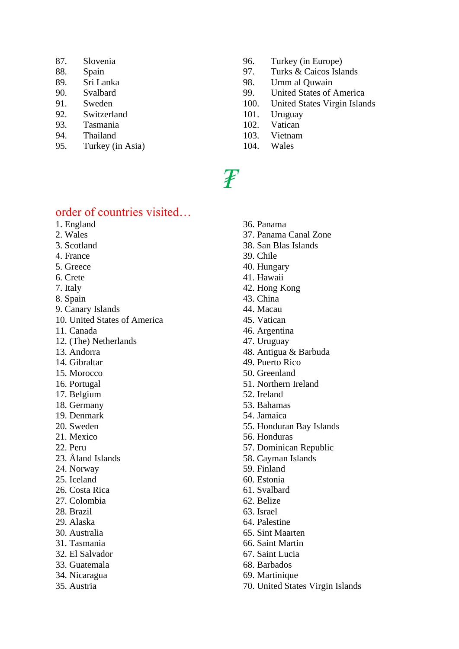- 87. Slovenia
- 88. Spain
- 89. Sri Lanka
- 90. Svalbard
- 91. Sweden
- 92. Switzerland
- 93. Tasmania
- 94. Thailand
- 95. Turkey (in Asia)
- 96. Turkey (in Europe)
- 97. Turks & Caicos Islands
- 98. Umm al Quwain
- 99. United States of America
- 100. United States Virgin Islands
- 101. Uruguay
- 102. Vatican
- 103. Vietnam
- 104. Wales

### order of countries visited…

- 1. England
- 2. Wales
- 3. Scotland
- 4. France
- 5. Greece
- 6. Crete
- 7. Italy
- 8. Spain
- 9. Canary Islands
- 10. United States of America
- 11. Canada
- 12. (The) Netherlands
- 13. Andorra
- 14. Gibraltar
- 15. Morocco
- 16. Portugal
- 17. Belgium
- 18. Germany
- 19. Denmark
- 20. Sweden
- 21. Mexico
- 22. Peru
- 23. Åland Islands
- 24. Norway
- 25. Iceland
- 26. Costa Rica
- 27. Colombia
- 28. Brazil
- 29. Alaska
- 30. Australia
- 31. Tasmania
- 32. El Salvador
- 33. Guatemala
- 34. Nicaragua
- 35. Austria
- 36. Panama
- 37. Panama Canal Zone
- 38. San Blas Islands
- 39. Chile
- 40. Hungary
- 41. Hawaii
- 42. Hong Kong
- 43. China
- 44. Macau
- 45. Vatican
- 46. Argentina
- 47. Uruguay
- 48. Antigua & Barbuda
- 49. Puerto Rico
- 50. Greenland
- 51. Northern Ireland
- 52. Ireland
- 53. Bahamas
- 54. Jamaica
- 55. Honduran Bay Islands
- 56. Honduras
- 57. Dominican Republic
- 58. Cayman Islands
- 59. Finland
- 60. Estonia
- 61. Svalbard
- 62. Belize
- 63. Israel
- 64. Palestine
- 65. Sint Maarten
- 66. Saint Martin
- 67. Saint Lucia
- 68. Barbados
- 69. Martinique
- 70. United States Virgin Islands

## *₮*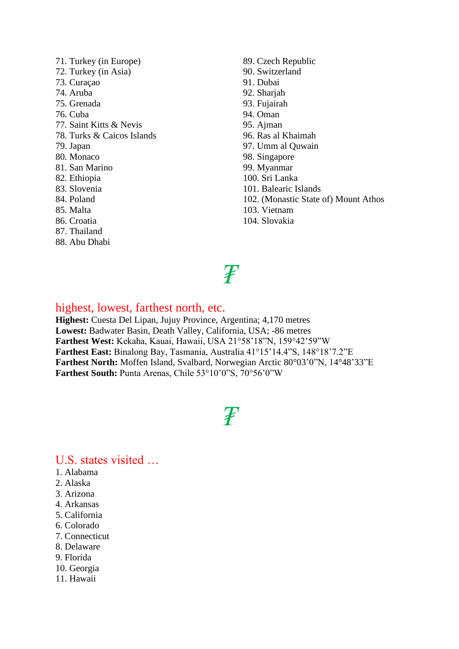71. Turkey (in Europe) 72. Turkey (in Asia) 73. Curaçao 74. Aruba 75. Grenada 76. Cuba 77. Saint Kitts & Nevis 78. Turks & Caicos Islands 79. Japan 80. Monaco 81. San Marino 82. Ethiopia 83. Slovenia 84. Poland 85. Malta 86. Croatia 87. Thailand 88. Abu Dhabi

89. Czech Republic 90. Switzerland 91. Dubai 92. Sharjah 93. Fujairah 94. Oman 95. Ajman 96. Ras al Khaimah 97. Umm al Quwain 98. Singapore 99. Myanmar 100. Sri Lanka 101. Balearic Islands 102. (Monastic State of) Mount Athos 103. Vietnam 104. Slovakia

# *₮*

### highest, lowest, farthest north, etc.

**Highest:** Cuesta Del Lipan, Jujuy Province, Argentina; 4,170 metres **Lowest:** Badwater Basin, Death Valley, California, USA; -86 metres **Farthest West:** Kekaha, Kauai, Hawaii, USA 21°58'18"N, 159°42'59"W **Farthest East:** Binalong Bay, Tasmania, Australia 41°15'14.4"S, 148°18'7.2"E **Farthest North:** Moffen Island, Svalbard, Norwegian Arctic 80°03'0"N, 14°48'33"E **Farthest South:** Punta Arenas, Chile 53°10'0"S, 70°56'0"W

*₮*

### U.S. states visited …

- 1. Alabama
- 2. Alaska
- 3. Arizona
- 4. Arkansas
- 5. California
- 6. Colorado
- 7. Connecticut
- 8. Delaware
- 9. Florida
- 10. Georgia
- 11. Hawaii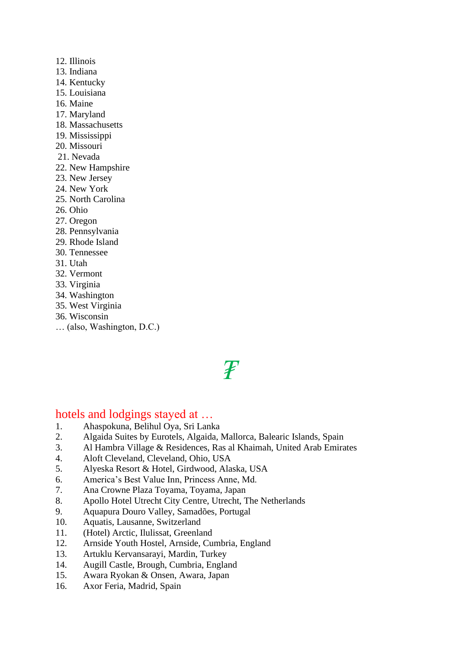- 12. Illinois
- 13. Indiana
- 14. Kentucky
- 15. Louisiana
- 16. Maine
- 17. Maryland
- 18. Massachusetts
- 19. Mississippi
- 20. Missouri
- 21. Nevada
- 22. New Hampshire
- 23. New Jersey
- 24. New York
- 25. North Carolina
- 26. Ohio
- 27. Oregon
- 28. Pennsylvania
- 29. Rhode Island
- 30. Tennessee
- 31. Utah
- 32. Vermont
- 33. Virginia
- 34. Washington
- 35. West Virginia
- 36. Wisconsin
- … (also, Washington, D.C.)

# *₮*

### hotels and lodgings stayed at …

- 1. Ahaspokuna, Belihul Oya, Sri Lanka<br>2. Algaida Suites by Eurotels, Algaida, I
- 2. Algaida Suites by Eurotels, Algaida, Mallorca, Balearic Islands, Spain
- 3. Al Hambra Village & Residences, Ras al Khaimah, United Arab Emirates
- 4. Aloft Cleveland, Cleveland, Ohio, USA
- 5. Alyeska Resort & Hotel, Girdwood, Alaska, USA
- 6. America's Best Value Inn, Princess Anne, Md.
- 7. Ana Crowne Plaza Toyama, Toyama, Japan
- 8. Apollo Hotel Utrecht City Centre, Utrecht, The Netherlands
- 9. Aquapura Douro Valley, Samadões, Portugal
- 10. Aquatis, Lausanne, Switzerland
- 11. (Hotel) Arctic, Ilulissat, Greenland
- 12. Arnside Youth Hostel, Arnside, Cumbria, England
- 13. Artuklu Kervansarayi, Mardin, Turkey
- 14. Augill Castle, Brough, Cumbria, England
- 15. Awara Ryokan & Onsen, Awara, Japan
- 16. Axor Feria, Madrid, Spain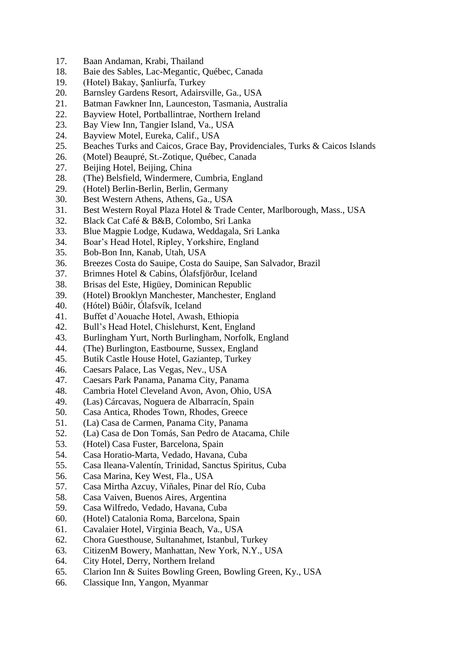- 17. Baan Andaman, Krabi, Thailand
- 18. Baie des Sables, Lac-Megantic, Québec, Canada
- 19. (Hotel) Bakay, Şanliurfa, Turkey
- 20. Barnsley Gardens Resort, Adairsville, Ga., USA
- 21. Batman Fawkner Inn, Launceston, Tasmania, Australia
- 22. Bayview Hotel, Portballintrae, Northern Ireland
- 23. Bay View Inn, Tangier Island, Va., USA
- 24. Bayview Motel, Eureka, Calif., USA
- 25. Beaches Turks and Caicos, Grace Bay, Providenciales, Turks & Caicos Islands
- 26. (Motel) Beaupré, St.-Zotique, Québec, Canada
- 27. Beijing Hotel, Beijing, China
- 28. (The) Belsfield, Windermere, Cumbria, England
- 29. (Hotel) Berlin-Berlin, Berlin, Germany
- 30. Best Western Athens, Athens, Ga., USA
- 31. Best Western Royal Plaza Hotel & Trade Center, Marlborough, Mass., USA
- 32. Black Cat Café & B&B, Colombo, Sri Lanka
- 33. Blue Magpie Lodge, Kudawa, Weddagala, Sri Lanka
- 34. Boar's Head Hotel, Ripley, Yorkshire, England
- 35. Bob-Bon Inn, Kanab, Utah, USA
- 36. Breezes Costa do Sauipe, Costa do Sauipe, San Salvador, Brazil
- 37. Brimnes Hotel & Cabins, Ólafsfjörður, Iceland
- 38. Brisas del Este, Higüey, Dominican Republic
- 39. (Hotel) Brooklyn Manchester, Manchester, England
- 40. (Hótel) Búðir, Ólafsvík, Iceland
- 41. Buffet d'Aouache Hotel, Awash, Ethiopia
- 42. Bull's Head Hotel, Chislehurst, Kent, England
- 43. Burlingham Yurt, North Burlingham, Norfolk, England
- 44. (The) Burlington, Eastbourne, Sussex, England
- 45. Butik Castle House Hotel, Gaziantep, Turkey
- 46. Caesars Palace, Las Vegas, Nev., USA
- 47. Caesars Park Panama, Panama City, Panama
- 48. Cambria Hotel Cleveland Avon, Avon, Ohio, USA
- 49. (Las) Cárcavas, Noguera de Albarracín, Spain
- 50. Casa Antica, Rhodes Town, Rhodes, Greece
- 51. (La) Casa de Carmen, Panama City, Panama
- 52. (La) Casa de Don Tomás, San Pedro de Atacama, Chile
- 53. (Hotel) Casa Fuster, Barcelona, Spain
- 54. Casa Horatio-Marta, Vedado, Havana, Cuba
- 55. Casa Ileana-Valentín, Trinidad, Sanctus Spiritus, Cuba
- 56. Casa Marina, Key West, Fla., USA
- 57. Casa Mirtha Azcuy, Viñales, Pinar del Río, Cuba
- 58. Casa Vaiven, Buenos Aires, Argentina
- 59. Casa Wilfredo, Vedado, Havana, Cuba
- 60. (Hotel) Catalonia Roma, Barcelona, Spain
- 61. Cavalaier Hotel, Virginia Beach, Va., USA
- 62. Chora Guesthouse, Sultanahmet, Istanbul, Turkey
- 63. CitizenM Bowery, Manhattan, New York, N.Y., USA
- 64. City Hotel, Derry, Northern Ireland
- 65. Clarion Inn & Suites Bowling Green, Bowling Green, Ky., USA
- 66. Classique Inn, Yangon, Myanmar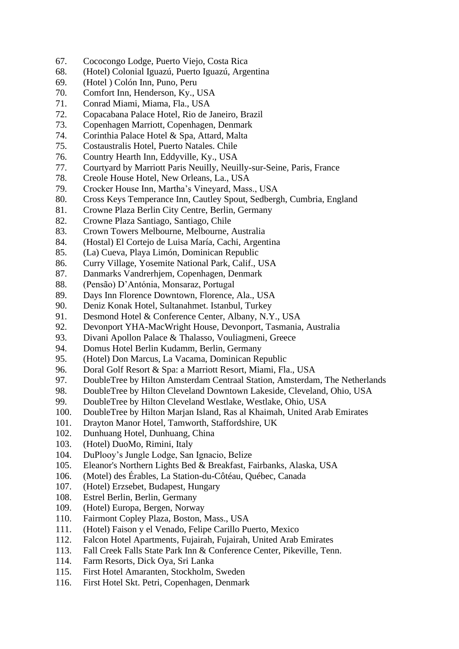- 67. Cococongo Lodge, Puerto Viejo, Costa Rica
- 68. (Hotel) Colonial Iguazú, Puerto Iguazú, Argentina
- 69. (Hotel ) Colón Inn, Puno, Peru
- 70. Comfort Inn, Henderson, Ky., USA
- 71. Conrad Miami, Miama, Fla., USA
- 72. Copacabana Palace Hotel, Rio de Janeiro, Brazil
- 73. Copenhagen Marriott, Copenhagen, Denmark
- 74. Corinthia Palace Hotel & Spa, Attard, Malta
- 75. Costaustralis Hotel, Puerto Natales. Chile
- 76. Country Hearth Inn, Eddyville, Ky., USA
- 77. Courtyard by Marriott Paris Neuilly, Neuilly-sur-Seine, Paris, France
- 78. Creole House Hotel, New Orleans, La., USA
- 79. Crocker House Inn, Martha's Vineyard, Mass., USA
- 80. Cross Keys Temperance Inn, Cautley Spout, Sedbergh, Cumbria, England
- 81. Crowne Plaza Berlin City Centre, Berlin, Germany
- 82. Crowne Plaza Santiago, Santiago, Chile
- 83. Crown Towers Melbourne, Melbourne, Australia
- 84. (Hostal) El Cortejo de Luisa María, Cachi, Argentina
- 85. (La) Cueva, Playa Limón, Dominican Republic
- 86. Curry Village, Yosemite National Park, Calif., USA
- 87. Danmarks Vandrerhjem, Copenhagen, Denmark
- 88. (Pensão) D'Antónia, Monsaraz, Portugal
- 89. Days Inn Florence Downtown, Florence, Ala., USA
- 90. Deniz Konak Hotel, Sultanahmet. Istanbul, Turkey
- 91. Desmond Hotel & Conference Center, Albany, N.Y., USA
- 92. Devonport YHA-MacWright House, Devonport, Tasmania, Australia
- 93. Divani Apollon Palace & Thalasso, Vouliagmeni, Greece
- 94. Domus Hotel Berlin Kudamm, Berlin, Germany
- 95. (Hotel) Don Marcus, La Vacama, Dominican Republic
- 96. Doral Golf Resort & Spa: a Marriott Resort, Miami, Fla., USA
- 97. DoubleTree by Hilton Amsterdam Centraal Station, Amsterdam, The Netherlands
- 98. DoubleTree by Hilton Cleveland Downtown Lakeside, Cleveland, Ohio, USA
- 99. DoubleTree by Hilton Cleveland Westlake, Westlake, Ohio, USA
- 100. DoubleTree by Hilton Marjan Island, Ras al Khaimah, United Arab Emirates
- 101. Drayton Manor Hotel, Tamworth, Staffordshire, UK
- 102. Dunhuang Hotel, Dunhuang, China
- 103. (Hotel) DuoMo, Rimini, Italy
- 104. DuPlooy's Jungle Lodge, San Ignacio, Belize
- 105. Eleanor's Northern Lights Bed & Breakfast, Fairbanks, Alaska, USA
- 106. (Motel) des Érables, La Station-du-Côtéau, Québec, Canada
- 107. (Hotel) Erzsebet, Budapest, Hungary
- 108. Estrel Berlin, Berlin, Germany
- 109. (Hotel) Europa, Bergen, Norway
- 110. Fairmont Copley Plaza, Boston, Mass., USA
- 111. (Hotel) Faison y el Venado, Felipe Carillo Puerto, Mexico
- 112. Falcon Hotel Apartments, Fujairah, Fujairah, United Arab Emirates
- 113. Fall Creek Falls State Park Inn & Conference Center, Pikeville, Tenn.
- 114. Farm Resorts, Dick Oya, Sri Lanka
- 115. First Hotel Amaranten, Stockholm, Sweden
- 116. First Hotel Skt. Petri, Copenhagen, Denmark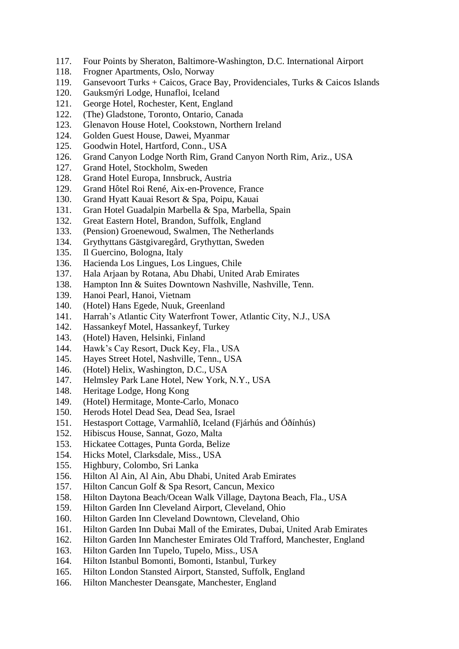- 117. Four Points by Sheraton, Baltimore-Washington, D.C. International Airport
- 118. Frogner Apartments, Oslo, Norway
- 119. Gansevoort Turks + Caicos, Grace Bay, Providenciales, Turks & Caicos Islands
- 120. Gauksmýri Lodge, Hunafloi, Iceland
- 121. George Hotel, Rochester, Kent, England
- 122. (The) Gladstone, Toronto, Ontario, Canada
- 123. Glenavon House Hotel, Cookstown, Northern Ireland
- 124. Golden Guest House, Dawei, Myanmar
- 125. Goodwin Hotel, Hartford, Conn., USA
- 126. Grand Canyon Lodge North Rim, Grand Canyon North Rim, Ariz., USA
- 127. Grand Hotel, Stockholm, Sweden
- 128. Grand Hotel Europa, Innsbruck, Austria
- 129. Grand Hôtel Roi René, Aix-en-Provence, France
- 130. Grand Hyatt Kauai Resort & Spa, Poipu, Kauai
- 131. Gran Hotel Guadalpin Marbella & Spa, Marbella, Spain
- 132. Great Eastern Hotel, Brandon, Suffolk, England
- 133. (Pension) Groenewoud, Swalmen, The Netherlands
- 134. Grythyttans Gästgivaregård, Grythyttan, Sweden
- 135. Il Guercino, Bologna, Italy
- 136. Hacienda Los Lingues, Los Lingues, Chile
- 137. Hala Arjaan by Rotana, Abu Dhabi, United Arab Emirates
- 138. Hampton Inn & Suites Downtown Nashville, Nashville, Tenn.
- 139. Hanoi Pearl, Hanoi, Vietnam
- 140. (Hotel) Hans Egede, Nuuk, Greenland
- 141. Harrah's Atlantic City Waterfront Tower, Atlantic City, N.J., USA
- 142. Hassankeyf Motel, Hassankeyf, Turkey
- 143. (Hotel) Haven, Helsinki, Finland
- 144. Hawk's Cay Resort, Duck Key, Fla., USA
- 145. Hayes Street Hotel, Nashville, Tenn., USA
- 146. (Hotel) Helix, Washington, D.C., USA
- 147. Helmsley Park Lane Hotel, New York, N.Y., USA
- 148. Heritage Lodge, Hong Kong
- 149. (Hotel) Hermitage, Monte-Carlo, Monaco
- 150. Herods Hotel Dead Sea, Dead Sea, Israel
- 151. Hestasport Cottage, Varmahlíð, Iceland (Fjárhús and Óðínhús)
- 152. Hibiscus House, Sannat, Gozo, Malta
- 153. Hickatee Cottages, Punta Gorda, Belize
- 154. Hicks Motel, Clarksdale, Miss., USA
- 155. Highbury, Colombo, Sri Lanka
- 156. Hilton Al Ain, Al Ain, Abu Dhabi, United Arab Emirates
- 157. Hilton Cancun Golf & Spa Resort, Cancun, Mexico
- 158. Hilton Daytona Beach/Ocean Walk Village, Daytona Beach, Fla., USA
- 159. Hilton Garden Inn Cleveland Airport, Cleveland, Ohio
- 160. Hilton Garden Inn Cleveland Downtown, Cleveland, Ohio
- 161. Hilton Garden Inn Dubai Mall of the Emirates, Dubai, United Arab Emirates
- 162. Hilton Garden Inn Manchester Emirates Old Trafford, Manchester, England
- 163. Hilton Garden Inn Tupelo, Tupelo, Miss., USA
- 164. Hilton Istanbul Bomonti, Bomonti, Istanbul, Turkey
- 165. Hilton London Stansted Airport, Stansted, Suffolk, England
- 166. Hilton Manchester Deansgate, Manchester, England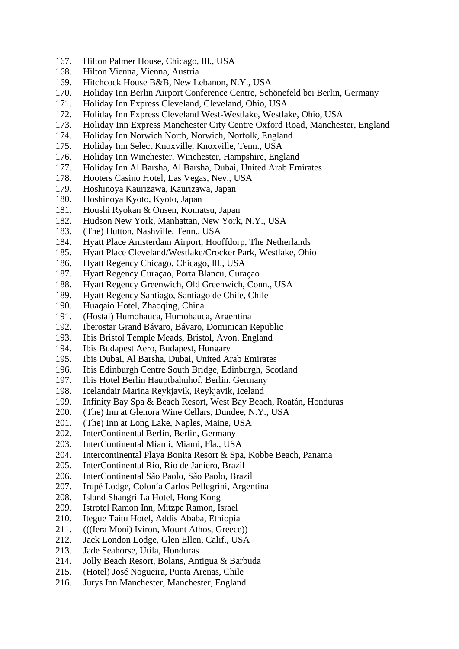- 167. Hilton Palmer House, Chicago, Ill., USA
- 168. Hilton Vienna, Vienna, Austria
- 169. Hitchcock House B&B, New Lebanon, N.Y., USA
- 170. Holiday Inn Berlin Airport Conference Centre, Schönefeld bei Berlin, Germany
- 171. Holiday Inn Express Cleveland, Cleveland, Ohio, USA
- 172. Holiday Inn Express Cleveland West-Westlake, Westlake, Ohio, USA
- 173. Holiday Inn Express Manchester City Centre Oxford Road, Manchester, England
- 174. Holiday Inn Norwich North, Norwich, Norfolk, England
- 175. Holiday Inn Select Knoxville, Knoxville, Tenn., USA
- 176. Holiday Inn Winchester, Winchester, Hampshire, England
- 177. Holiday Inn Al Barsha, Al Barsha, Dubai, United Arab Emirates
- 178. Hooters Casino Hotel, Las Vegas, Nev., USA
- 179. Hoshinoya Kaurizawa, Kaurizawa, Japan
- 180. Hoshinoya Kyoto, Kyoto, Japan
- 181. Houshi Ryokan & Onsen, Komatsu, Japan
- 182. Hudson New York, Manhattan, New York, N.Y., USA
- 183. (The) Hutton, Nashville, Tenn., USA
- 184. Hyatt Place Amsterdam Airport, Hooffdorp, The Netherlands
- 185. Hyatt Place Cleveland/Westlake/Crocker Park, Westlake, Ohio
- 186. Hyatt Regency Chicago, Chicago, Ill., USA
- 187. Hyatt Regency Curaçao, Porta Blancu, Curaçao
- 188. Hyatt Regency Greenwich, Old Greenwich, Conn., USA
- 189. Hyatt Regency Santiago, Santiago de Chile, Chile
- 190. Huaqaio Hotel, Zhaoqing, China
- 191. (Hostal) Humohauca, Humohauca, Argentina
- 192. Iberostar Grand Bávaro, Bávaro, Dominican Republic
- 193. Ibis Bristol Temple Meads, Bristol, Avon. England
- 194. Ibis Budapest Aero, Budapest, Hungary
- 195. Ibis Dubai, Al Barsha, Dubai, United Arab Emirates
- 196. Ibis Edinburgh Centre South Bridge, Edinburgh, Scotland
- 197. Ibis Hotel Berlin Hauptbahnhof, Berlin. Germany
- 198. Icelandair Marina Reykjavik, Reykjavik, Iceland
- 199. Infinity Bay Spa & Beach Resort, West Bay Beach, Roatán, Honduras
- 200. (The) Inn at Glenora Wine Cellars, Dundee, N.Y., USA
- 201. (The) Inn at Long Lake, Naples, Maine, USA
- 202. InterContinental Berlin, Berlin, Germany
- 203. InterContinental Miami, Miami, Fla., USA
- 204. Intercontinental Playa Bonita Resort & Spa, Kobbe Beach, Panama
- 205. InterContinental Rio, Rio de Janiero, Brazil
- 206. InterContinental São Paolo, São Paolo, Brazil
- 207. Irupé Lodge, Colonía Carlos Pellegrini, Argentina
- 208. Island Shangri-La Hotel, Hong Kong
- 209. Istrotel Ramon Inn, Mitzpe Ramon, Israel
- 210. Itegue Taitu Hotel, Addis Ababa, Ethiopia
- 211. (((Iera Moni) Iviron, Mount Athos, Greece))
- 212. Jack London Lodge, Glen Ellen, Calif., USA
- 213. Jade Seahorse, Útila, Honduras
- 214. Jolly Beach Resort, Bolans, Antigua & Barbuda
- 215. (Hotel) José Nogueira, Punta Arenas, Chile
- 216. Jurys Inn Manchester, Manchester, England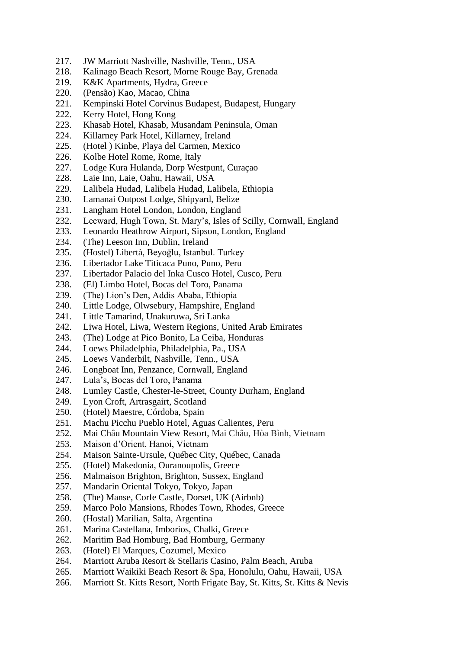- 217. JW Marriott Nashville, Nashville, Tenn., USA
- 218. Kalinago Beach Resort, Morne Rouge Bay, Grenada
- 219. K&K Apartments, Hydra, Greece
- 220. (Pensão) Kao, Macao, China
- 221. Kempinski Hotel Corvinus Budapest, Budapest, Hungary
- 222. Kerry Hotel, Hong Kong
- 223. Khasab Hotel, Khasab, Musandam Peninsula, Oman
- 224. Killarney Park Hotel, Killarney, Ireland
- 225. (Hotel ) Kinbe, Playa del Carmen, Mexico
- 226. Kolbe Hotel Rome, Rome, Italy
- 227. Lodge Kura Hulanda, Dorp Westpunt, Curaçao
- 228. Laie Inn, Laie, Oahu, Hawaii, USA
- 229. Lalibela Hudad, Lalibela Hudad, Lalibela, Ethiopia
- 230. Lamanai Outpost Lodge, Shipyard, Belize
- 231. Langham Hotel London, London, England
- 232. Leeward, Hugh Town, St. Mary's, Isles of Scilly, Cornwall, England
- 233. Leonardo Heathrow Airport, Sipson, London, England
- 234. (The) Leeson Inn, Dublin, Ireland
- 235. (Hostel) Libertà, Beyoğlu, Istanbul. Turkey
- 236. Libertador Lake Titicaca Puno, Puno, Peru
- 237. Libertador Palacio del Inka Cusco Hotel, Cusco, Peru
- 238. (El) Limbo Hotel, Bocas del Toro, Panama
- 239. (The) Lion's Den, Addis Ababa, Ethiopia
- 240. Little Lodge, Olwsebury, Hampshire, England
- 241. Little Tamarind, Unakuruwa, Sri Lanka
- 242. Liwa Hotel, Liwa, Western Regions, United Arab Emirates
- 243. (The) Lodge at Pico Bonito, La Ceiba, Honduras
- 244. Loews Philadelphia, Philadelphia, Pa., USA
- 245. Loews Vanderbilt, Nashville, Tenn., USA
- 246. Longboat Inn, Penzance, Cornwall, England
- 247. Lula's, Bocas del Toro, Panama
- 248. Lumley Castle, Chester-le-Street, County Durham, England
- 249. Lyon Croft, Artrasgairt, Scotland
- 250. (Hotel) Maestre, Córdoba, Spain
- 251. Machu Picchu Pueblo Hotel, Aguas Calientes, Peru
- 252. Mai Châu Mountain View Resort, Mai Châu, Hòa Bình, Vietnam
- 253. Maison d'Orient, Hanoi, Vietnam
- 254. Maison Sainte-Ursule, Québec City, Québec, Canada
- 255. (Hotel) Makedonia, Ouranoupolis, Greece
- 256. Malmaison Brighton, Brighton, Sussex, England
- 257. Mandarin Oriental Tokyo, Tokyo, Japan
- 258. (The) Manse, Corfe Castle, Dorset, UK (Airbnb)
- 259. Marco Polo Mansions, Rhodes Town, Rhodes, Greece
- 260. (Hostal) Marilian, Salta, Argentina
- 261. Marina Castellana, Imborios, Chalki, Greece
- 262. Maritim Bad Homburg, Bad Homburg, Germany
- 263. (Hotel) El Marques, Cozumel, Mexico
- 264. Marriott Aruba Resort & Stellaris Casino, Palm Beach, Aruba
- 265. Marriott Waikiki Beach Resort & Spa, Honolulu, Oahu, Hawaii, USA
- 266. Marriott St. Kitts Resort, North Frigate Bay, St. Kitts, St. Kitts & Nevis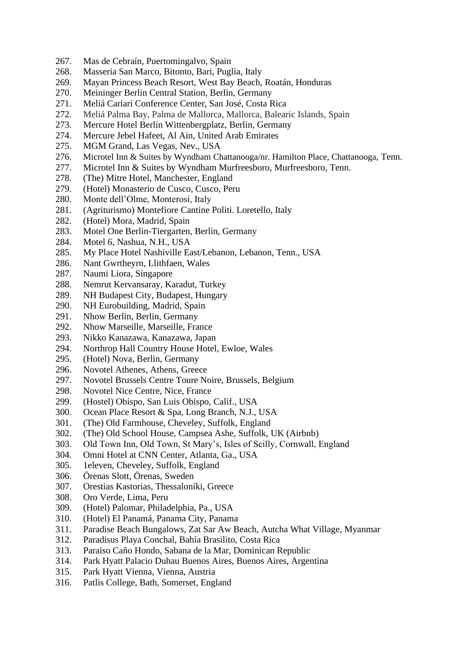- 267. Mas de Cebraín, Puertomingalvo, Spain
- 268. Masseria San Marco, Bitonto, Bari, Puglia, Italy
- 269. Mayan Princess Beach Resort, West Bay Beach, Roatán, Honduras
- 270. Meininger Berlin Central Station, Berlin, Germany
- 271. Meliá Cariari Conference Center, San José, Costa Rica
- 272. Meliá Palma Bay, Palma de Mallorca, Mallorca, Balearic Islands, Spain
- 273. Mercure Hotel Berlin Wittenbergplatz, Berlin, Germany
- 274. Mercure Jebel Hafeet, Al Ain, United Arab Emirates
- 275. MGM Grand, Las Vegas, Nev., USA
- 276. Microtel Inn & Suites by Wyndham Chattanooga/nr. Hamilton Place, Chattanooga, Tenn.
- 277. Microtel Inn & Suites by Wyndham Murfreesboro, Murfreesboro, Tenn.
- 278. (The) Mitre Hotel, Manchester, England
- 279. (Hotel) Monasterio de Cusco, Cusco, Peru
- 280. Monte dell'Olme, Monterosi, Italy
- 281. (Agriturismo) Montefiore Cantine Politi. Loretello, Italy
- 282. (Hotel) Mora, Madrid, Spain
- 283. Motel One Berlin-Tiergarten, Berlin, Germany
- 284. Motel 6, Nashua, N.H., USA
- 285. My Place Hotel Nashiville East/Lebanon, Lebanon, Tenn., USA
- 286. Nant Gwrtheyrn, Llithfaen, Wales
- 287. Naumi Liora, Singapore
- 288. Nemrut Kervansaray, Karadut, Turkey
- 289. NH Budapest City, Budapest, Hungary
- 290. NH Eurobuilding, Madrid, Spain
- 291. Nhow Berlin, Berlin, Germany
- 292. Nhow Marseille, Marseille, France
- 293. Nikko Kanazawa, Kanazawa, Japan
- 294. Northrop Hall Country House Hotel, Ewloe, Wales
- 295. (Hotel) Nova, Berlin, Germany
- 296. Novotel Athenes, Athens, Greece
- 297. Novotel Brussels Centre Toure Noire, Brussels, Belgium
- 298. Novotel Nice Centre, Nice, France
- 299. (Hostel) Obispo, San Luis Obispo, Calif., USA
- 300. Ocean Place Resort & Spa, Long Branch, N.J., USA
- 301. (The) Old Farmhouse, Cheveley, Suffolk, England
- 302. (The) Old School House, Campsea Ashe, Suffolk, UK (Airbnb)
- 303. Old Town Inn, Old Town, St Mary's, Isles of Scilly, Cornwall, England
- 304. Omni Hotel at CNN Center, Atlanta, Ga., USA
- 305. 1eleven, Cheveley, Suffolk, England
- 306. Örenas Slott, Örenas, Sweden
- 307. Orestias Kastorias, Thessaloníki, Greece
- 308. Oro Verde, Lima, Peru
- 309. (Hotel) Palomar, Philadelphia, Pa., USA
- 310. (Hotel) El Panamá, Panama City, Panama
- 311. Paradise Beach Bungalows, Zat Sar Aw Beach, Autcha What Village, Myanmar
- 312. Paradisus Playa Conchal, Bahía Brasilito, Costa Rica
- 313. Paraiso Caño Hondo, Sabana de la Mar, Dominican Republic
- 314. Park Hyatt Palacio Duhau Buenos Aires, Buenos Aires, Argentina
- 315. Park Hyatt Vienna, Vienna, Austria
- 316. Patlis College, Bath, Somerset, England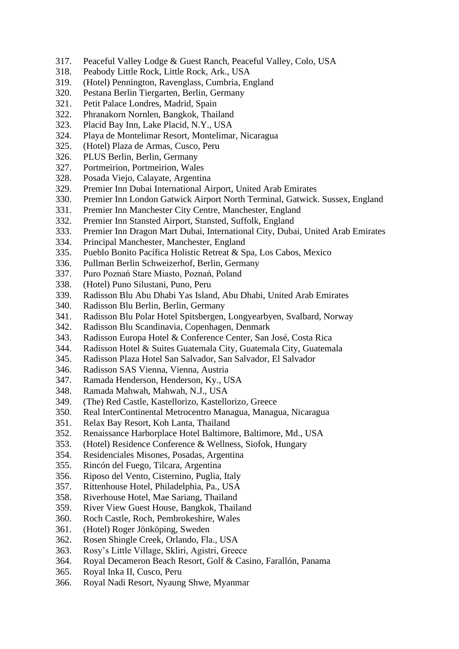- 317. Peaceful Valley Lodge & Guest Ranch, Peaceful Valley, Colo, USA
- 318. Peabody Little Rock, Little Rock, Ark., USA
- 319. (Hotel) Pennington, Ravenglass, Cumbria, England
- 320. Pestana Berlin Tiergarten, Berlin, Germany
- 321. Petit Palace Londres, Madrid, Spain
- 322. Phranakorn Nornlen, Bangkok, Thailand
- 323. Placid Bay Inn, Lake Placid, N.Y., USA
- 324. Playa de Montelimar Resort, Montelimar, Nicaragua
- 325. (Hotel) Plaza de Armas, Cusco, Peru
- 326. PLUS Berlin, Berlin, Germany
- 327. Portmeirion, Portmeirion, Wales
- 328. Posada Viejo, Calayate, Argentina
- 329. Premier Inn Dubai International Airport, United Arab Emirates
- 330. Premier Inn London Gatwick Airport North Terminal, Gatwick. Sussex, England
- 331. Premier Inn Manchester City Centre, Manchester, England
- 332. Premier Inn Stansted Airport, Stansted, Suffolk, England
- 333. Premier Inn Dragon Mart Dubai, International City, Dubai, United Arab Emirates
- 334. Principal Manchester, Manchester, England
- 335. Pueblo Bonito Pacífica Holistic Retreat & Spa, Los Cabos, Mexico
- 336. Pullman Berlin Schweizerhof, Berlin, Germany
- 337. Puro Poznań Stare Miasto, Poznań, Poland
- 338. (Hotel) Puno Silustani, Puno, Peru
- 339. Radisson Blu Abu Dhabi Yas Island, Abu Dhabi, United Arab Emirates
- 340. Radisson Blu Berlin, Berlin, Germany
- 341. Radisson Blu Polar Hotel Spitsbergen, Longyearbyen, Svalbard, Norway
- 342. Radisson Blu Scandinavia, Copenhagen, Denmark
- 343. Radisson Europa Hotel & Conference Center, San José, Costa Rica
- 344. Radisson Hotel & Suites Guatemala City, Guatemala City, Guatemala
- 345. Radisson Plaza Hotel San Salvador, San Salvador, El Salvador
- 346. Radisson SAS Vienna, Vienna, Austria
- 347. Ramada Henderson, Henderson, Ky., USA
- 348. Ramada Mahwah, Mahwah, N.J., USA
- 349. (The) Red Castle, Kastellorizo, Kastellorizo, Greece
- 350. Real InterContinental Metrocentro Managua, Managua, Nicaragua
- 351. Relax Bay Resort, Koh Lanta, Thailand
- 352. Renaissance Harborplace Hotel Baltimore, Baltimore, Md., USA
- 353. (Hotel) Residence Conference & Wellness, Siofok, Hungary
- 354. Residenciales Misones, Posadas, Argentina
- 355. Rincón del Fuego, Tilcara, Argentina
- 356. Riposo del Vento, Cisternino, Puglia, Italy
- 357. Rittenhouse Hotel, Philadelphia, Pa., USA
- 358. Riverhouse Hotel, Mae Sariang, Thailand
- 359. River View Guest House, Bangkok, Thailand
- 360. Roch Castle, Roch, Pembrokeshire, Wales
- 361. (Hotel) Roger Jönköping, Sweden
- 362. Rosen Shingle Creek, Orlando, Fla., USA
- 363. Rosy's Little Village, Skliri, Agistri, Greece
- 364. Royal Decameron Beach Resort, Golf & Casino, Farallón, Panama
- 365. Royal Inka II, Cusco, Peru
- 366. Royal Nadi Resort, Nyaung Shwe, Myanmar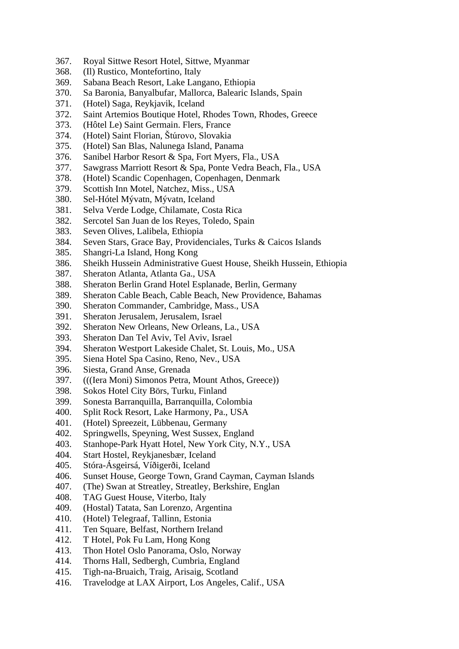- 367. Royal Sittwe Resort Hotel, Sittwe, Myanmar
- 368. (Il) Rustico, Montefortino, Italy
- 369. Sabana Beach Resort, Lake Langano, Ethiopia
- 370. Sa Baronia, Banyalbufar, Mallorca, Balearic Islands, Spain
- 371. (Hotel) Saga, Reykjavik, Iceland
- 372. Saint Artemios Boutique Hotel, Rhodes Town, Rhodes, Greece
- 373. (Hôtel Le) Saint Germain. Flers, France
- 374. (Hotel) Saint Florian, Štúrovo, Slovakia
- 375. (Hotel) San Blas, Nalunega Island, Panama
- 376. Sanibel Harbor Resort & Spa, Fort Myers, Fla., USA
- 377. Sawgrass Marriott Resort & Spa, Ponte Vedra Beach, Fla., USA
- 378. (Hotel) Scandic Copenhagen, Copenhagen, Denmark
- 379. Scottish Inn Motel, Natchez, Miss., USA
- 380. Sel-Hótel Mývatn, Mývatn, Iceland
- 381. Selva Verde Lodge, Chilamate, Costa Rica
- 382. Sercotel San Juan de los Reyes, Toledo, Spain
- 383. Seven Olives, Lalibela, Ethiopia
- 384. Seven Stars, Grace Bay, Providenciales, Turks & Caicos Islands
- 385. Shangri-La Island, Hong Kong
- 386. Sheikh Hussein Administrative Guest House, Sheikh Hussein, Ethiopia
- 387. Sheraton Atlanta, Atlanta Ga., USA
- 388. Sheraton Berlin Grand Hotel Esplanade, Berlin, Germany
- 389. Sheraton Cable Beach, Cable Beach, New Providence, Bahamas
- 390. Sheraton Commander, Cambridge, Mass., USA
- 391. Sheraton Jerusalem, Jerusalem, Israel
- 392. Sheraton New Orleans, New Orleans, La., USA
- 393. Sheraton Dan Tel Aviv, Tel Aviv, Israel
- 394. Sheraton Westport Lakeside Chalet, St. Louis, Mo., USA
- 395. Siena Hotel Spa Casino, Reno, Nev., USA
- 396. Siesta, Grand Anse, Grenada
- 397. (((Iera Moni) Simonos Petra, Mount Athos, Greece))
- 398. Sokos Hotel City Börs, Turku, Finland
- 399. Sonesta Barranquilla, Barranquilla, Colombia
- 400. Split Rock Resort, Lake Harmony, Pa., USA
- 401. (Hotel) Spreezeit, Lübbenau, Germany
- 402. Springwells, Speyning, West Sussex, England
- 403. Stanhope-Park Hyatt Hotel, New York City, N.Y., USA
- 404. Start Hostel, Reykjanesbær, Iceland
- 405. Stóra-Ásgeirsá, Víðigerði, Iceland
- 406. Sunset House, George Town, Grand Cayman, Cayman Islands
- 407. (The) Swan at Streatley, Streatley, Berkshire, Englan
- 408. TAG Guest House, Viterbo, Italy
- 409. (Hostal) Tatata, San Lorenzo, Argentina
- 410. (Hotel) Telegraaf, Tallinn, Estonia
- 411. Ten Square, Belfast, Northern Ireland
- 412. T Hotel, Pok Fu Lam, Hong Kong
- 413. Thon Hotel Oslo Panorama, Oslo, Norway
- 414. Thorns Hall, Sedbergh, Cumbria, England
- 415. Tigh-na-Bruaich, Traig, Arisaig, Scotland
- 416. Travelodge at LAX Airport, Los Angeles, Calif., USA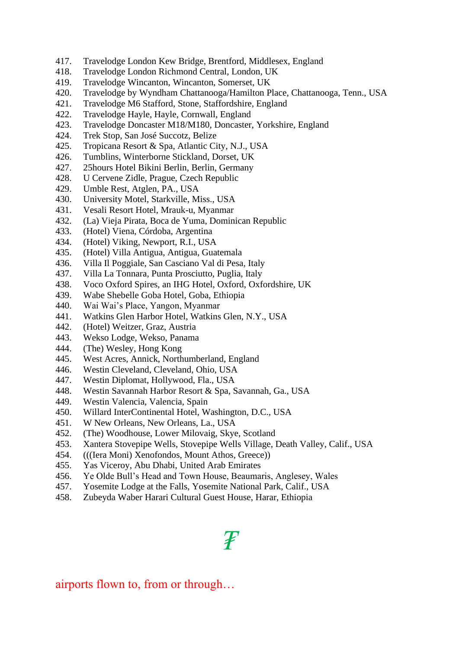- 417. Travelodge London Kew Bridge, Brentford, Middlesex, England
- 418. Travelodge London Richmond Central, London, UK
- 419. Travelodge Wincanton, Wincanton, Somerset, UK
- 420. Travelodge by Wyndham Chattanooga/Hamilton Place, Chattanooga, Tenn., USA
- 421. Travelodge M6 Stafford, Stone, Staffordshire, England
- 422. Travelodge Hayle, Hayle, Cornwall, England
- 423. Travelodge Doncaster M18/M180, Doncaster, Yorkshire, England
- 424. Trek Stop, San José Succotz, Belize
- 425. Tropicana Resort & Spa, Atlantic City, N.J., USA
- 426. Tumblins, Winterborne Stickland, Dorset, UK
- 427. 25hours Hotel Bikini Berlin, Berlin, Germany
- 428. U Cervene Zidle, Prague, Czech Republic
- 429. Umble Rest, Atglen, PA., USA
- 430. University Motel, Starkville, Miss., USA
- 431. Vesali Resort Hotel, Mrauk-u, Myanmar
- 432. (La) Vieja Pirata, Boca de Yuma, Dominican Republic
- 433. (Hotel) Viena, Córdoba, Argentina
- 434. (Hotel) Viking, Newport, R.I., USA
- 435. (Hotel) Villa Antigua, Antigua, Guatemala
- 436. Villa Il Poggiale, San Casciano Val di Pesa, Italy
- 437. Villa La Tonnara, Punta Prosciutto, Puglia, Italy
- 438. Voco Oxford Spires, an IHG Hotel, Oxford, Oxfordshire, UK
- 439. Wabe Shebelle Goba Hotel, Goba, Ethiopia
- 440. Wai Wai's Place, Yangon, Myanmar
- 441. Watkins Glen Harbor Hotel, Watkins Glen, N.Y., USA
- 442. (Hotel) Weitzer, Graz, Austria
- 443. Wekso Lodge, Wekso, Panama
- 444. (The) Wesley, Hong Kong
- 445. West Acres, Annick, Northumberland, England
- 446. Westin Cleveland, Cleveland, Ohio, USA
- 447. Westin Diplomat, Hollywood, Fla., USA
- 448. Westin Savannah Harbor Resort & Spa, Savannah, Ga., USA
- 449. Westin Valencia, Valencia, Spain
- 450. Willard InterContinental Hotel, Washington, D.C., USA
- 451. W New Orleans, New Orleans, La., USA
- 452. (The) Woodhouse, Lower Milovaig, Skye, Scotland
- 453. Xantera Stovepipe Wells, Stovepipe Wells Village, Death Valley, Calif., USA
- 454. (((Iera Moni) Xenofondos, Mount Athos, Greece))
- 455. Yas Viceroy, Abu Dhabi, United Arab Emirates
- 456. Ye Olde Bull's Head and Town House, Beaumaris, Anglesey, Wales
- 457. Yosemite Lodge at the Falls, Yosemite National Park, Calif., USA
- 458. Zubeyda Waber Harari Cultural Guest House, Harar, Ethiopia

# *₮*

airports flown to, from or through…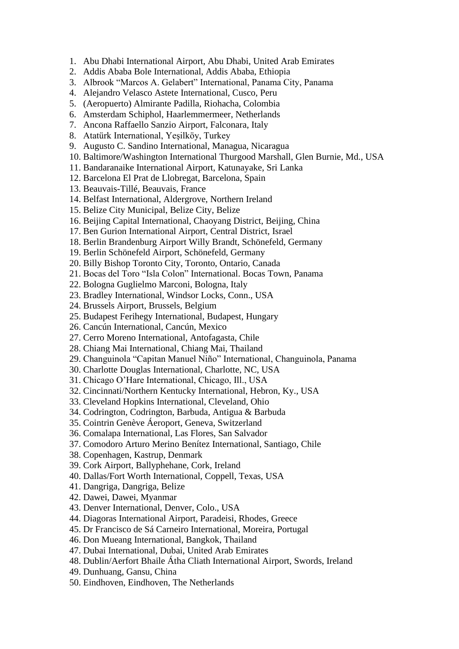- 1. Abu Dhabi International Airport, Abu Dhabi, United Arab Emirates
- 2. Addis Ababa Bole International, Addis Ababa, Ethiopia
- 3. Albrook "Marcos A. Gelabert" International, Panama City, Panama
- 4. Alejandro Velasco Astete International, Cusco, Peru
- 5. (Aeropuerto) Almirante Padilla, Riohacha, Colombia
- 6. Amsterdam Schiphol, Haarlemmermeer, Netherlands
- 7. Ancona Raffaello Sanzio Airport, Falconara, Italy
- 8. Atatürk International, Yeşilköy, Turkey
- 9. Augusto C. Sandino International, Managua, Nicaragua
- 10. Baltimore/Washington International Thurgood Marshall, Glen Burnie, Md., USA
- 11. Bandaranaike International Airport, Katunayake, Sri Lanka
- 12. Barcelona El Prat de Llobregat, Barcelona, Spain
- 13. Beauvais-Tillé, Beauvais, France
- 14. Belfast International, Aldergrove, Northern Ireland
- 15. Belize City Municipal, Belize City, Belize
- 16. Beijing Capital International, Chaoyang District, Beijing, China
- 17. Ben Gurion International Airport, Central District, Israel
- 18. Berlin Brandenburg Airport Willy Brandt, Schönefeld, Germany
- 19. Berlin Schönefeld Airport, Schönefeld, Germany
- 20. Billy Bishop Toronto City, Toronto, Ontario, Canada
- 21. Bocas del Toro "Isla Colon" International. Bocas Town, Panama
- 22. Bologna Guglielmo Marconi, Bologna, Italy
- 23. Bradley International, Windsor Locks, Conn., USA
- 24. Brussels Airport, Brussels, Belgium
- 25. Budapest Ferihegy International, Budapest, Hungary
- 26. Cancún International, Cancún, Mexico
- 27. Cerro Moreno International, Antofagasta, Chile
- 28. Chiang Mai International, Chiang Mai, Thailand
- 29. Changuinola "Capitan Manuel Niño" International, Changuinola, Panama
- 30. Charlotte Douglas International, Charlotte, NC, USA
- 31. Chicago O'Hare International, Chicago, Ill., USA
- 32. Cincinnati/Northern Kentucky International, Hebron, Ky., USA
- 33. Cleveland Hopkins International, Cleveland, Ohio
- 34. Codrington, Codrington, Barbuda, Antigua & Barbuda
- 35. Cointrin Genève Áeroport, Geneva, Switzerland
- 36. Comalapa International, Las Flores, San Salvador
- 37. Comodoro Arturo Merino Benítez International, Santiago, Chile
- 38. Copenhagen, Kastrup, Denmark
- 39. Cork Airport, Ballyphehane, Cork, Ireland
- 40. Dallas/Fort Worth International, Coppell, Texas, USA
- 41. Dangriga, Dangriga, Belize
- 42. Dawei, Dawei, Myanmar
- 43. Denver International, Denver, Colo., USA
- 44. Diagoras International Airport, Paradeisi, Rhodes, Greece
- 45. Dr Francisco de Sá Carneiro International, Moreira, Portugal
- 46. Don Mueang International, Bangkok, Thailand
- 47. Dubai International, Dubai, United Arab Emirates
- 48. Dublin/Aerfort Bhaile Átha Cliath International Airport, Swords, Ireland
- 49. Dunhuang, Gansu, China
- 50. Eindhoven, Eindhoven, The Netherlands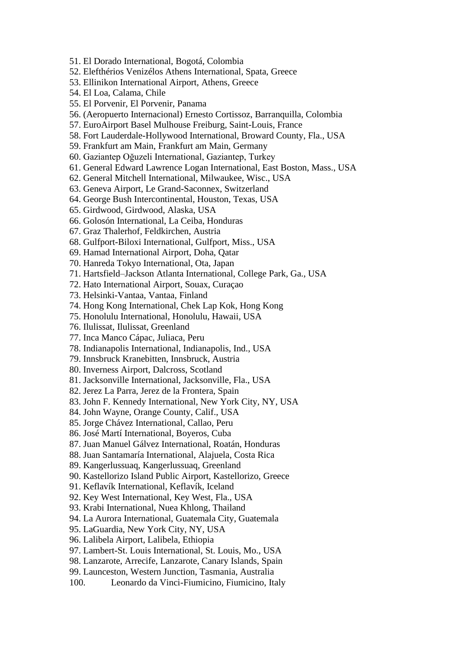- 51. El Dorado International, Bogotá, Colombia
- 52. Elefthérios Venizélos Athens International, Spata, Greece
- 53. Ellinikon International Airport, Athens, Greece
- 54. El Loa, Calama, Chile
- 55. El Porvenir, El Porvenir, Panama
- 56. (Aeropuerto Internacional) Ernesto Cortissoz, Barranquilla, Colombia
- 57. EuroAirport Basel Mulhouse Freiburg, Saint-Louis, France
- 58. Fort Lauderdale-Hollywood International, Broward County, Fla., USA
- 59. Frankfurt am Main, Frankfurt am Main, Germany
- 60. Gaziantep Oğuzeli International, Gaziantep, Turkey
- 61. General Edward Lawrence Logan International, East Boston, Mass., USA
- 62. General Mitchell International, Milwaukee, Wisc., USA
- 63. Geneva Airport, Le Grand-Saconnex, Switzerland
- 64. George Bush Intercontinental, Houston, Texas, USA
- 65. Girdwood, Girdwood, Alaska, USA
- 66. Golosón International, La Ceiba, Honduras
- 67. Graz Thalerhof, Feldkirchen, Austria
- 68. Gulfport-Biloxi International, Gulfport, Miss., USA
- 69. Hamad International Airport, Doha, Qatar
- 70. Hanreda Tokyo International, Ota, Japan
- 71. Hartsfield–Jackson Atlanta International, College Park, Ga., USA
- 72. Hato International Airport, Souax, Curaçao
- 73. Helsinki-Vantaa, Vantaa, Finland
- 74. Hong Kong International, Chek Lap Kok, Hong Kong
- 75. Honolulu International, Honolulu, Hawaii, USA
- 76. Ilulissat, Ilulissat, Greenland
- 77. Inca Manco Cápac, Juliaca, Peru
- 78. Indianapolis International, Indianapolis, Ind., USA
- 79. Innsbruck Kranebitten, Innsbruck, Austria
- 80. Inverness Airport, Dalcross, Scotland
- 81. Jacksonville International, Jacksonville, Fla., USA
- 82. Jerez La Parra, Jerez de la Frontera, Spain
- 83. John F. Kennedy International, New York City, NY, USA
- 84. John Wayne, Orange County, Calif., USA
- 85. Jorge Chávez International, Callao, Peru
- 86. José Martí International, Boyeros, Cuba
- 87. Juan Manuel Gálvez International, Roatán, Honduras
- 88. Juan Santamaría International, Alajuela, Costa Rica
- 89. Kangerlussuaq, Kangerlussuaq, Greenland
- 90. Kastellorizo Island Public Airport, Kastellorizo, Greece
- 91. Keflavík International, Keflavík, Iceland
- 92. Key West International, Key West, Fla., USA
- 93. Krabi International, Nuea Khlong, Thailand
- 94. La Aurora International, Guatemala City, Guatemala
- 95. LaGuardia, New York City, NY, USA
- 96. Lalibela Airport, Lalibela, Ethiopia
- 97. Lambert-St. Louis International, St. Louis, Mo., USA
- 98. Lanzarote, Arrecife, Lanzarote, Canary Islands, Spain
- 99. Launceston, Western Junction, Tasmania, Australia
- 100. Leonardo da Vinci-Fiumicino, Fiumicino, Italy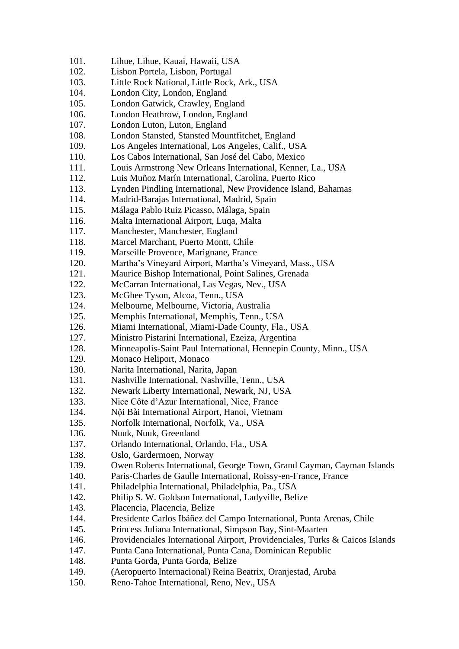- 101. Lihue, Lihue, Kauai, Hawaii, USA
- 102. Lisbon Portela, Lisbon, Portugal
- 103. Little Rock National, Little Rock, Ark., USA
- 104. London City, London, England
- 105. London Gatwick, Crawley, England
- 106. London Heathrow, London, England
- 107. London Luton, Luton, England
- 108. London Stansted, Stansted Mountfitchet, England
- 109. Los Angeles International, Los Angeles, Calif., USA
- 110. Los Cabos International, San José del Cabo, Mexico
- 111. Louis Armstrong New Orleans International, Kenner, La., USA
- 112. Luis Muñoz Marín International, Carolina, Puerto Rico
- 113. Lynden Pindling International, New Providence Island, Bahamas
- 114. Madrid-Barajas International, Madrid, Spain
- 115. Málaga Pablo Ruiz Picasso, Málaga, Spain
- 116. Malta International Airport, Luqa, Malta
- 117. Manchester, Manchester, England
- 118. Marcel Marchant, Puerto Montt, Chile
- 119. Marseille Provence, Marignane, France
- 120. Martha's Vineyard Airport, Martha's Vineyard, Mass., USA
- 121. Maurice Bishop International, Point Salines, Grenada
- 122. McCarran International, Las Vegas, Nev., USA
- 123. McGhee Tyson, Alcoa, Tenn., USA
- 124. Melbourne, Melbourne, Victoria, Australia
- 125. Memphis International, Memphis, Tenn., USA
- 126. Miami International, Miami-Dade County, Fla., USA
- 127. Ministro Pistarini International, Ezeiza, Argentina
- 128. Minneapolis-Saint Paul International, Hennepin County, Minn., USA
- 129. Monaco Heliport, Monaco
- 130. Narita International, Narita, Japan
- 131. Nashville International, Nashville, Tenn., USA
- 132. Newark Liberty International, Newark, NJ, USA
- 133. Nice Côte d'Azur International, Nice, France
- 134. Nội Bài International Airport, Hanoi, Vietnam
- 135. Norfolk International, Norfolk, Va., USA
- 136. Nuuk, Nuuk, Greenland
- 137. Orlando International, Orlando, Fla., USA
- 138. Oslo, Gardermoen, Norway
- 139. Owen Roberts International, George Town, Grand Cayman, Cayman Islands
- 140. Paris-Charles de Gaulle International, Roissy-en-France, France
- 141. Philadelphia International, Philadelphia, Pa., USA
- 142. Philip S. W. Goldson International, Ladyville, Belize
- 143. Placencia, Placencia, Belize
- 144. Presidente Carlos Ibáñez del Campo International, Punta Arenas, Chile
- 145. Princess Juliana International, Simpson Bay, Sint-Maarten
- 146. Providenciales International Airport, Providenciales, Turks & Caicos Islands
- 147. Punta Cana International, Punta Cana, Dominican Republic
- 148. Punta Gorda, Punta Gorda, Belize
- 149. (Aeropuerto Internacional) Reina Beatrix, Oranjestad, Aruba
- 150. Reno-Tahoe International, Reno, Nev., USA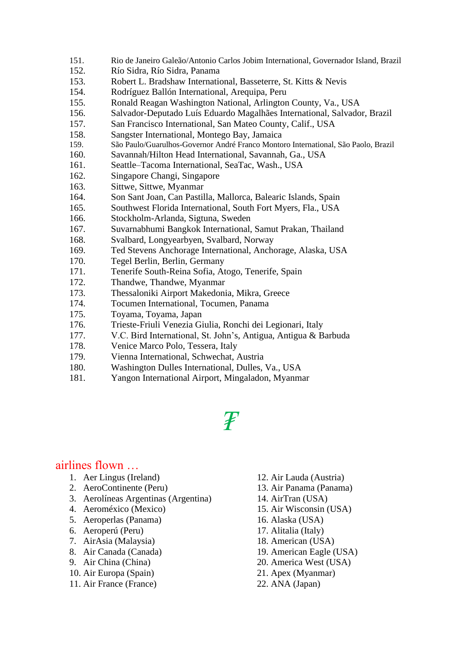- 151. Rio de Janeiro Galeão/Antonio Carlos Jobim International, Governador Island, Brazil
- 152. Río Sidra, Río Sidra, Panama
- 153. Robert L. Bradshaw International, Basseterre, St. Kitts & Nevis
- 154. Rodríguez Ballón International, Arequipa, Peru
- 155. Ronald Reagan Washington National, Arlington County, Va., USA
- 156. Salvador-Deputado Luís Eduardo Magalhães International, Salvador, Brazil
- 157. San Francisco International, San Mateo County, Calif., USA
- 158. Sangster International, Montego Bay, Jamaica
- 159. São Paulo/Guarulhos-Governor André Franco Montoro International, São Paolo, Brazil
- 160. Savannah/Hilton Head International, Savannah, Ga., USA
- 161. Seattle–Tacoma International, SeaTac, Wash., USA
- 162. Singapore Changi, Singapore
- 163. Sittwe, Sittwe, Myanmar
- 164. Son Sant Joan, Can Pastilla, Mallorca, Balearic Islands, Spain
- 165. Southwest Florida International, South Fort Myers, Fla., USA
- 166. Stockholm-Arlanda, Sigtuna, Sweden
- 167. Suvarnabhumi Bangkok International, Samut Prakan, Thailand
- 168. Svalbard, Longyearbyen, Svalbard, Norway
- 169. Ted Stevens Anchorage International, Anchorage, Alaska, USA
- 170. Tegel Berlin, Berlin, Germany
- 171. Tenerife South-Reina Sofia, Atogo, Tenerife, Spain
- 172. Thandwe, Thandwe, Myanmar
- 173. Thessaloniki Airport Makedonia, Mikra, Greece
- 174. Tocumen International, Tocumen, Panama
- 175. Toyama, Toyama, Japan
- 176. Trieste-Friuli Venezia Giulia, Ronchi dei Legionari, Italy
- 177. V.C. Bird International, St. John's, Antigua, Antigua & Barbuda
- 178. Venice Marco Polo, Tessera, Italy
- 179. Vienna International, Schwechat, Austria
- 180. Washington Dulles International, Dulles, Va., USA
- 181. Yangon International Airport, Mingaladon, Myanmar

# *₮*

### airlines flown …

- 1. Aer Lingus (Ireland)
- 2. AeroContinente (Peru)
- 3. Aerolíneas Argentinas (Argentina)
- 4. Aeroméxico (Mexico)
- 5. Aeroperlas (Panama)
- 6. Aeroperú (Peru)
- 7. AirAsia (Malaysia)
- 8. Air Canada (Canada)
- 9. Air China (China)
- 10. Air Europa (Spain)
- 11. Air France (France)
- 12. Air Lauda (Austria)
- 13. Air Panama (Panama)
- 14. AirTran (USA)
- 15. Air Wisconsin (USA)
- 16. Alaska (USA)
- 17. Alitalia (Italy)
- 18. American (USA)
- 19. American Eagle (USA)
- 20. America West (USA)
- 21. Apex (Myanmar)
- 22. ANA (Japan)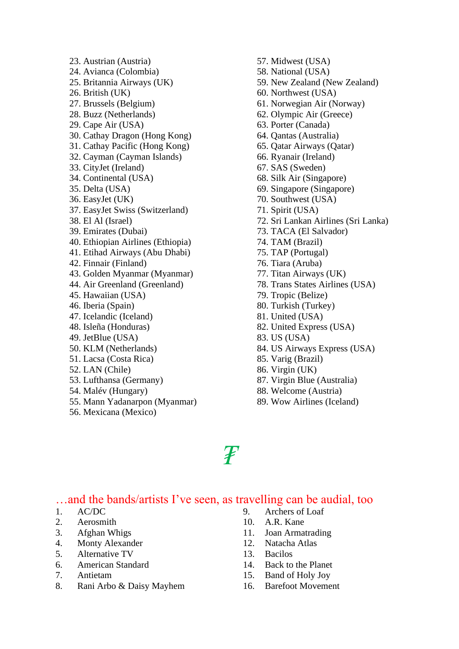23. Austrian (Austria) 24. Avianca (Colombia) 25. Britannia Airways (UK) 26. British (UK) 27. Brussels (Belgium) 28. Buzz (Netherlands) 29. Cape Air (USA) 30. Cathay Dragon (Hong Kong) 31. Cathay Pacific (Hong Kong) 32. Cayman (Cayman Islands) 33. CityJet (Ireland) 34. Continental (USA) 35. Delta (USA) 36. EasyJet (UK) 37. EasyJet Swiss (Switzerland) 38. El Al (Israel) 39. Emirates (Dubai) 40. Ethiopian Airlines (Ethiopia) 41. Etihad Airways (Abu Dhabi) 42. Finnair (Finland) 43. Golden Myanmar (Myanmar) 44. Air Greenland (Greenland) 45. Hawaiian (USA) 46. Iberia (Spain) 47. Icelandic (Iceland) 48. Isleña (Honduras) 49. JetBlue (USA) 50. KLM (Netherlands) 51. Lacsa (Costa Rica) 52. LAN (Chile) 53. Lufthansa (Germany) 54. Malév (Hungary) 55. Mann Yadanarpon (Myanmar)

56. Mexicana (Mexico)

57. Midwest (USA) 58. National (USA) 59. New Zealand (New Zealand) 60. Northwest (USA) 61. Norwegian Air (Norway) 62. Olympic Air (Greece) 63. Porter (Canada) 64. Qantas (Australia) 65. Qatar Airways (Qatar) 66. Ryanair (Ireland) 67. SAS (Sweden) 68. Silk Air (Singapore) 69. Singapore (Singapore) 70. Southwest (USA) 71. Spirit (USA) 72. Sri Lankan Airlines (Sri Lanka) 73. TACA (El Salvador) 74. TAM (Brazil) 75. TAP (Portugal) 76. Tiara (Aruba) 77. Titan Airways (UK) 78. Trans States Airlines (USA) 79. Tropic (Belize) 80. Turkish (Turkey) 81. United (USA) 82. United Express (USA) 83. US (USA) 84. US Airways Express (USA) 85. Varig (Brazil) 86. Virgin (UK) 87. Virgin Blue (Australia) 88. Welcome (Austria)

89. Wow Airlines (Iceland)

*₮*

### …and the bands/artists I've seen, as travelling can be audial, too

- 1. AC/DC
- 2. Aerosmith
- 3. Afghan Whigs
- 4. Monty Alexander
- 5. Alternative TV
- 6. American Standard
- 7. Antietam
- 8. Rani Arbo & Daisy Mayhem
- 9. Archers of Loaf
- 10. A.R. Kane
- 11. Joan Armatrading
- 12. Natacha Atlas
- 13. Bacilos
- 14. Back to the Planet
- 15. Band of Holy Joy
- 16. Barefoot Movement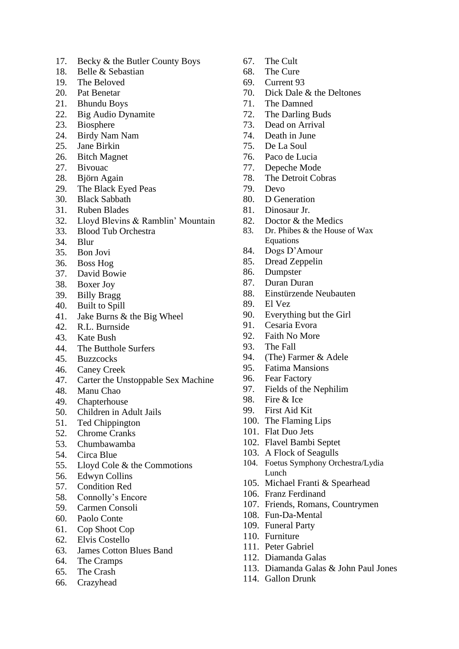- 17. Becky & the Butler County Boys
- 18. Belle & Sebastian
- 19. The Beloved
- 20. Pat Benetar
- 21. Bhundu Boys
- 22. Big Audio Dynamite
- 23. Biosphere
- 24. Birdy Nam Nam
- 25. Jane Birkin
- 26. Bitch Magnet
- 27. Bivouac
- 28. Björn Again
- 29. The Black Eyed Peas
- 30. Black Sabbath
- 31. Ruben Blades
- 32. Lloyd Blevins & Ramblin' Mountain
- 33. Blood Tub Orchestra
- 34. Blur
- 35. Bon Jovi
- 36. Boss Hog
- 37. David Bowie
- 38. Boxer Joy
- 39. Billy Bragg
- 40. Built to Spill
- 41. Jake Burns & the Big Wheel
- 42. R.L. Burnside
- 43. Kate Bush
- 44. The Butthole Surfers
- 45. Buzzcocks
- 46. Caney Creek
- 47. Carter the Unstoppable Sex Machine
- 48. Manu Chao
- 49. Chapterhouse
- 50. Children in Adult Jails
- 51. Ted Chippington
- 52. Chrome Cranks
- 53. Chumbawamba
- 54. Circa Blue
- 55. Lloyd Cole & the Commotions
- 56. Edwyn Collins
- 57. Condition Red
- 58. Connolly's Encore
- 59. Carmen Consoli
- 60. Paolo Conte
- 61. Cop Shoot Cop
- 62. Elvis Costello
- 63. James Cotton Blues Band
- 64. The Cramps
- 65. The Crash
- 66. Crazyhead
- 67. The Cult
- 68. The Cure
- 69. Current 93
- 70. Dick Dale & the Deltones
- 71. The Damned
- 72. The Darling Buds
- 73. Dead on Arrival
- 74. Death in June
- 75. De La Soul
- 76. Paco de Lucia
- 77. Depeche Mode
- 78. The Detroit Cobras
- 79. Devo
- 80. D Generation
- 81. Dinosaur Jr.
- 82. Doctor & the Medics
- 83. Dr. Phibes & the House of Wax Equations
- 84. Dogs D'Amour
- 85. Dread Zeppelin
- 86. Dumpster
- 87. Duran Duran
- 88. Einstürzende Neubauten
- 89. El Vez
- 90. Everything but the Girl
- 91. Cesaria Evora
- 92. Faith No More
- 93. The Fall
- 94. (The) Farmer & Adele
- 95. Fatima Mansions
- 96. Fear Factory
- 97. Fields of the Nephilim
- 98. Fire & Ice
- 99. First Aid Kit
- 100. The Flaming Lips
- 101. Flat Duo Jets
- 102. Flavel Bambi Septet
- 103. A Flock of Seagulls
- 104. Foetus Symphony Orchestra/Lydia Lunch
- 105. Michael Franti & Spearhead
- 106. Franz Ferdinand
- 107. Friends, Romans, Countrymen
- 108. Fun-Da-Mental
- 109. Funeral Party
- 110. Furniture
- 111. Peter Gabriel
- 112. Diamanda Galas
- 113. Diamanda Galas & John Paul Jones
- 114. Gallon Drunk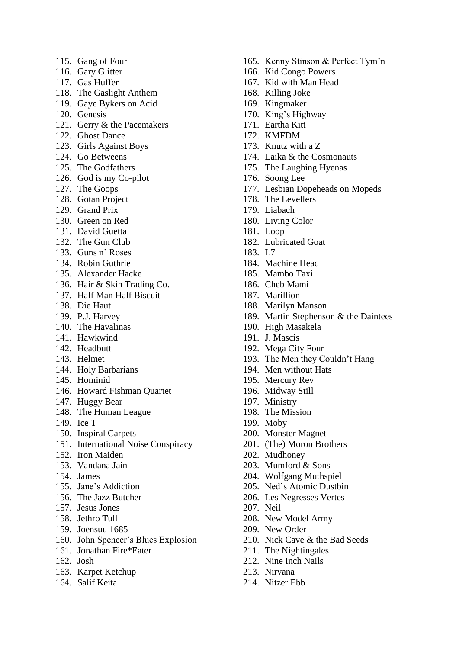- 115. Gang of Four
- 116. Gary Glitter
- 117. Gas Huffer
- 118. The Gaslight Anthem
- 119. Gaye Bykers on Acid
- 120. Genesis
- 121. Gerry & the Pacemakers
- 122. Ghost Dance
- 123. Girls Against Boys
- 124. Go Betweens
- 125. The Godfathers
- 126. God is my Co-pilot
- 127. The Goops
- 128. Gotan Project
- 129. Grand Prix
- 130. Green on Red
- 131. David Guetta
- 132. The Gun Club
- 133. Guns n' Roses
- 134. Robin Guthrie
- 135. Alexander Hacke
- 136. Hair & Skin Trading Co.
- 137. Half Man Half Biscuit
- 138. Die Haut
- 139. P.J. Harvey
- 140. The Havalinas
- 141. Hawkwind
- 142. Headbutt
- 143. Helmet
- 144. Holy Barbarians
- 145. Hominid
- 146. Howard Fishman Quartet
- 147. Huggy Bear
- 148. The Human League
- 149. Ice T
- 150. Inspiral Carpets
- 151. International Noise Conspiracy
- 152. Iron Maiden
- 153. Vandana Jain
- 154. James
- 155. Jane's Addiction
- 156. The Jazz Butcher
- 157. Jesus Jones
- 158. Jethro Tull
- 159. Joensuu 1685
- 160. John Spencer's Blues Explosion
- 161. Jonathan Fire\*Eater
- 162. Josh
- 163. Karpet Ketchup
- 164. Salif Keita
- 165. Kenny Stinson & Perfect Tym'n
- 166. Kid Congo Powers
- 167. Kid with Man Head
- 168. Killing Joke
- 169. Kingmaker
- 170. King's Highway
- 171. Eartha Kitt
- 172. KMFDM
- 173. Knutz with a Z
- 174. Laika & the Cosmonauts
- 175. The Laughing Hyenas
- 176. Soong Lee
- 177. Lesbian Dopeheads on Mopeds
- 178. The Levellers
- 179. Liabach
- 180. Living Color
- 181. Loop
- 182. Lubricated Goat
- 183. L7
- 184. Machine Head
- 185. Mambo Taxi
- 186. Cheb Mami
- 187. Marillion
- 188. Marilyn Manson
- 189. Martin Stephenson & the Daintees
- 190. High Masakela
- 191. J. Mascis
- 192. Mega City Four
- 193. The Men they Couldn't Hang
- 194. Men without Hats
- 195. Mercury Rev
- 196. Midway Still
- 197. Ministry
- 198. The Mission
- 199. Moby
- 200. Monster Magnet
- 201. (The) Moron Brothers
- 202. Mudhoney
- 203. Mumford & Sons
- 204. Wolfgang Muthspiel
- 205. Ned's Atomic Dustbin
- 206. Les Negresses Vertes
- 207. Neil
- 208. New Model Army
- 209. New Order
- 210. Nick Cave & the Bad Seeds
- 211. The Nightingales
- 212. Nine Inch Nails
- 213. Nirvana
- 214. Nitzer Ebb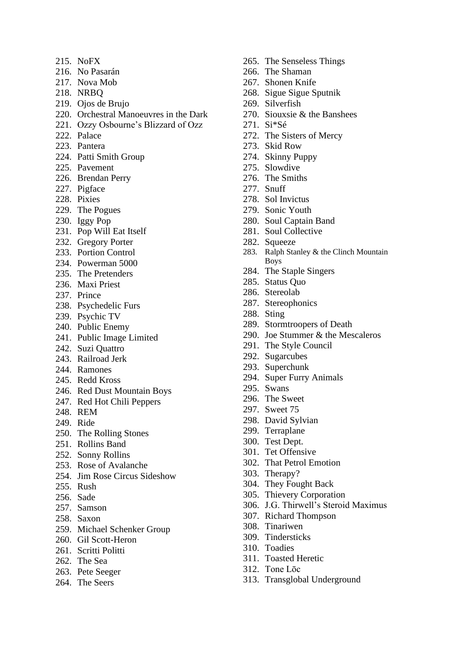- 215. NoFX
- 216. No Pasarán
- 217. Nova Mob
- 218. NRBQ
- 219. Ojos de Brujo
- 220. Orchestral Manoeuvres in the Dark
- 221. Ozzy Osbourne's Blizzard of Ozz
- 222. Palace
- 223. Pantera
- 224. Patti Smith Group
- 225. Pavement
- 226. Brendan Perry
- 227. Pigface
- 228. Pixies
- 229. The Pogues
- 230. Iggy Pop
- 231. Pop Will Eat Itself
- 232. Gregory Porter
- 233. Portion Control
- 234. Powerman 5000
- 235. The Pretenders
- 236. Maxi Priest
- 237. Prince
- 238. Psychedelic Furs
- 239. Psychic TV
- 240. Public Enemy
- 241. Public Image Limited
- 242. Suzi Quattro
- 243. Railroad Jerk
- 244. Ramones
- 245. Redd Kross
- 246. Red Dust Mountain Boys
- 247. Red Hot Chili Peppers
- 248. REM
- 249. Ride
- 250. The Rolling Stones
- 251. Rollins Band
- 252. Sonny Rollins
- 253. Rose of Avalanche
- 254. Jim Rose Circus Sideshow
- 255. Rush
- 256. Sade
- 257. Samson
- 258. Saxon
- 259. Michael Schenker Group
- 260. Gil Scott-Heron
- 261. Scritti Politti
- 262. The Sea
- 263. Pete Seeger
- 264. The Seers
- 265. The Senseless Things
- 266. The Shaman
- 267. Shonen Knife
- 268. Sigue Sigue Sputnik
- 269. Silverfish
- 270. Siouxsie & the Banshees
- 271. Si\*Sé
- 272. The Sisters of Mercy
- 273. Skid Row
- 274. Skinny Puppy
- 275. Slowdive
- 276. The Smiths
- 277. Snuff
- 278. Sol Invictus
- 279. Sonic Youth
- 280. Soul Captain Band
- 281. Soul Collective
- 282. Squeeze
- 283. Ralph Stanley & the Clinch Mountain Boys
- 284. The Staple Singers
- 285. Status Quo
- 286. Stereolab
- 287. Stereophonics
- 288. Sting
- 289. Stormtroopers of Death
- 290. Joe Stummer & the Mescaleros
- 291. The Style Council
- 292. Sugarcubes
- 293. Superchunk
- 294. Super Furry Animals
- 295. Swans
- 296. The Sweet
- 297. Sweet 75
- 298. David Sylvian
- 299. Terraplane
- 300. Test Dept.
- 301. Tet Offensive
- 302. That Petrol Emotion
- 303. Therapy?
- 304. They Fought Back
- 305. Thievery Corporation
- 306. J.G. Thirwell's Steroid Maximus
- 307. Richard Thompson
- 308. Tinariwen
- 309. Tindersticks
- 310. Toadies
- 311. Toasted Heretic
- 312. Tone Lōc
- 313. Transglobal Underground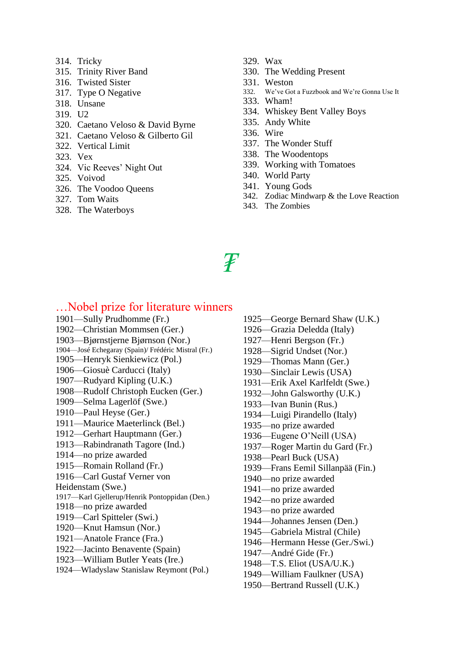- 314. Tricky
- 315. Trinity River Band
- 316. Twisted Sister
- 317. Type O Negative
- 318. Unsane
- 319. U2
- 320. Caetano Veloso & David Byrne
- 321. Caetano Veloso & Gilberto Gil
- 322. Vertical Limit
- 323. Vex
- 324. Vic Reeves' Night Out
- 325. Voivod
- 326. The Voodoo Queens
- 327. Tom Waits
- 328. The Waterboys
- 329. Wax
- 330. The Wedding Present
- 331. Weston
- 332. We've Got a Fuzzbook and We're Gonna Use It
- 333. Wham!
- 334. Whiskey Bent Valley Boys
- 335. Andy White
- 336. Wire
- 337. The Wonder Stuff
- 338. The Woodentops
- 339. Working with Tomatoes
- 340. World Party
- 341. Young Gods
- 342. Zodiac Mindwarp & the Love Reaction
- 343. The Zombies
- *₮*

### …Nobel prize for literature winners

- 1901—Sully Prudhomme (Fr.) 1902—Christian Mommsen (Ger.) 1903—Bjørnstjerne Bjørnson (Nor.) 1904—José Echegaray (Spain)/ Frédéric Mistral (Fr.) 1905—Henryk Sienkiewicz (Pol.) 1906—Giosuè Carducci (Italy) 1907—Rudyard Kipling (U.K.) 1908—Rudolf Christoph Eucken (Ger.) 1909—Selma Lagerlöf (Swe.) 1910—Paul Heyse (Ger.) 1911—Maurice Maeterlinck (Bel.) 1912—Gerhart Hauptmann (Ger.) 1913—Rabindranath Tagore (Ind.) 1914—no prize awarded 1915—Romain Rolland (Fr.) 1916—Carl Gustaf Verner von Heidenstam (Swe.) 1917—Karl Gjellerup/Henrik Pontoppidan (Den.) 1918—no prize awarded 1919—Carl Spitteler (Swi.) 1920—Knut Hamsun (Nor.) 1921—Anatole France (Fra.) 1922—Jacinto Benavente (Spain) 1923—William Butler Yeats (Ire.) 1924—Wladyslaw Stanislaw Reymont (Pol.)
- 1926—Grazia Deledda (Italy) 1927—Henri Bergson (Fr.) 1928—Sigrid Undset (Nor.) 1929—Thomas Mann (Ger.) 1930—Sinclair Lewis (USA) 1931—Erik Axel Karlfeldt (Swe.) 1932—John Galsworthy (U.K.)

1925—George Bernard Shaw (U.K.)

- 1933—Ivan Bunin (Rus.)
- 1934—Luigi Pirandello (Italy)
- 1935—no prize awarded
- 1936—Eugene O'Neill (USA)
- 1937—Roger Martin du Gard (Fr.)
- 1938—Pearl Buck (USA)
- 1939—Frans Eemil Sillanpää (Fin.)
- 1940—no prize awarded
- 1941—no prize awarded
- 1942—no prize awarded
- 1943—no prize awarded
- 1944—Johannes Jensen (Den.)
- 1945—Gabriela Mistral (Chile)
- 1946—Hermann Hesse (Ger./Swi.)
- 1947—André Gide (Fr.)
- 1948—T.S. Eliot (USA/U.K.)
- 1949—William Faulkner (USA)
- 1950—Bertrand Russell (U.K.)